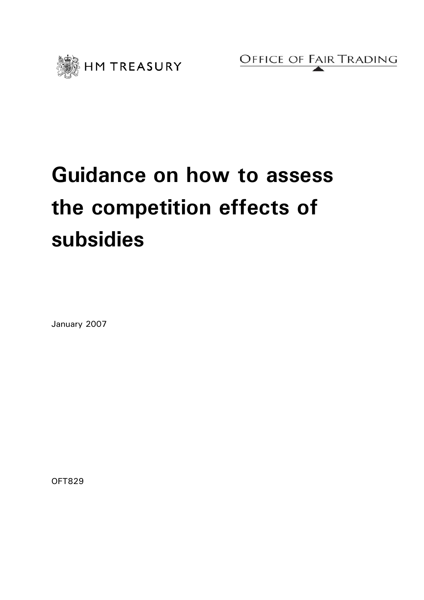

OFFICE OF FAIR TRADING

# **Guidance on how to assess the competition effects of subsidies**

January 2007

OFT829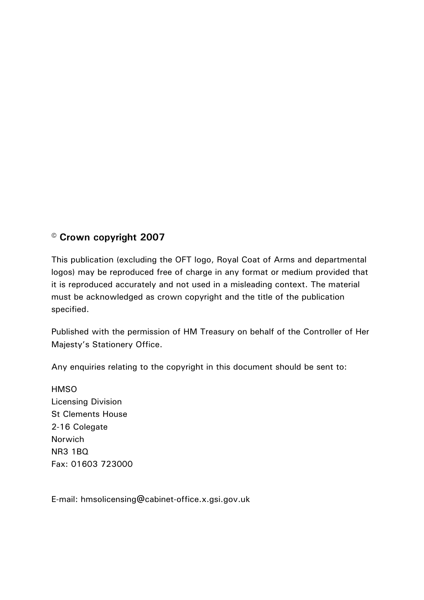## **© Crown copyright 2007**

This publication (excluding the OFT logo, Royal Coat of Arms and departmental logos) may be reproduced free of charge in any format or medium provided that it is reproduced accurately and not used in a misleading context. The material must be acknowledged as crown copyright and the title of the publication specified.

Published with the permission of HM Treasury on behalf of the Controller of Her Majesty's Stationery Office.

Any enquiries relating to the copyright in this document should be sent to:

**HMSO** Licensing Division St Clements House 2-16 Colegate Norwich NR3 1BQ Fax: 01603 723000

E-mail: hmsolicensing@cabinet-office.x.gsi.gov.uk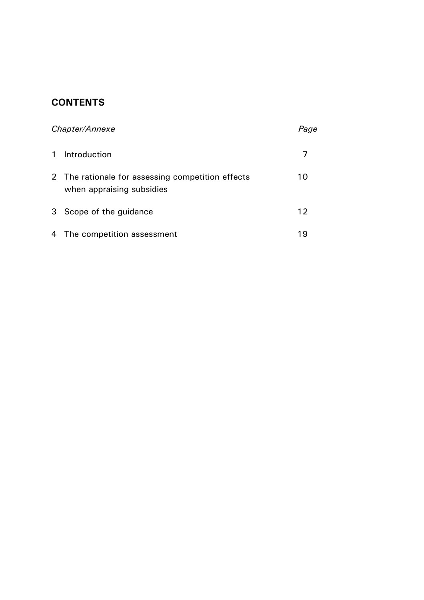## **CONTENTS**

| Chapter/Annexe |                                                                                |    |
|----------------|--------------------------------------------------------------------------------|----|
|                | Introduction                                                                   |    |
|                | 2 The rationale for assessing competition effects<br>when appraising subsidies | 10 |
| 3              | Scope of the guidance                                                          | 12 |
|                | 4 The competition assessment                                                   | 19 |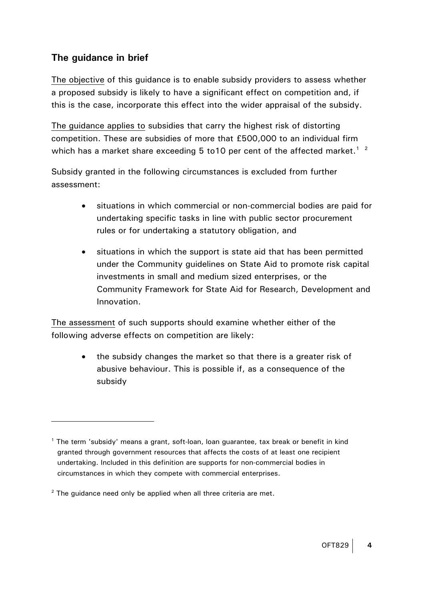## **The guidance in brief**

 $\overline{a}$ 

The objective of this guidance is to enable subsidy providers to assess whether a proposed subsidy is likely to have a significant effect on competition and, if this is the case, incorporate this effect into the wider appraisal of the subsidy.

The guidance applies to subsidies that carry the highest risk of distorting competition. These are subsidies of more that £500,000 to an individual firm which has a market share exceeding 5 to [1](#page-3-0)0 per cent of the affected market.<sup>1</sup> <sup>[2](#page-3-1)</sup>

Subsidy granted in the following circumstances is excluded from further assessment:

- situations in which commercial or non-commercial bodies are paid for undertaking specific tasks in line with public sector procurement rules or for undertaking a statutory obligation, and
- situations in which the support is state aid that has been permitted under the Community guidelines on State Aid to promote risk capital investments in small and medium sized enterprises, or the Community Framework for State Aid for Research, Development and Innovation.

The assessment of such supports should examine whether either of the following adverse effects on competition are likely:

> • the subsidy changes the market so that there is a greater risk of abusive behaviour. This is possible if, as a consequence of the subsidy

<span id="page-3-0"></span><sup>&</sup>lt;sup>1</sup> The term 'subsidy' means a grant, soft-loan, loan guarantee, tax break or benefit in kind granted through government resources that affects the costs of at least one recipient undertaking. Included in this definition are supports for non-commercial bodies in circumstances in which they compete with commercial enterprises.

<span id="page-3-1"></span> $2$  The guidance need only be applied when all three criteria are met.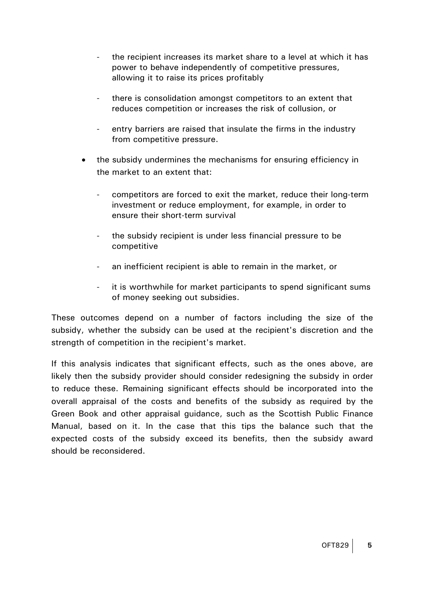- the recipient increases its market share to a level at which it has power to behave independently of competitive pressures, allowing it to raise its prices profitably
- there is consolidation amongst competitors to an extent that reduces competition or increases the risk of collusion, or
- entry barriers are raised that insulate the firms in the industry from competitive pressure.
- the subsidy undermines the mechanisms for ensuring efficiency in the market to an extent that:
	- competitors are forced to exit the market, reduce their long-term investment or reduce employment, for example, in order to ensure their short-term survival
	- the subsidy recipient is under less financial pressure to be competitive
	- an inefficient recipient is able to remain in the market, or
	- it is worthwhile for market participants to spend significant sums of money seeking out subsidies.

These outcomes depend on a number of factors including the size of the subsidy, whether the subsidy can be used at the recipient's discretion and the strength of competition in the recipient's market.

If this analysis indicates that significant effects, such as the ones above, are likely then the subsidy provider should consider redesigning the subsidy in order to reduce these. Remaining significant effects should be incorporated into the overall appraisal of the costs and benefits of the subsidy as required by the Green Book and other appraisal guidance, such as the Scottish Public Finance Manual, based on it. In the case that this tips the balance such that the expected costs of the subsidy exceed its benefits, then the subsidy award should be reconsidered.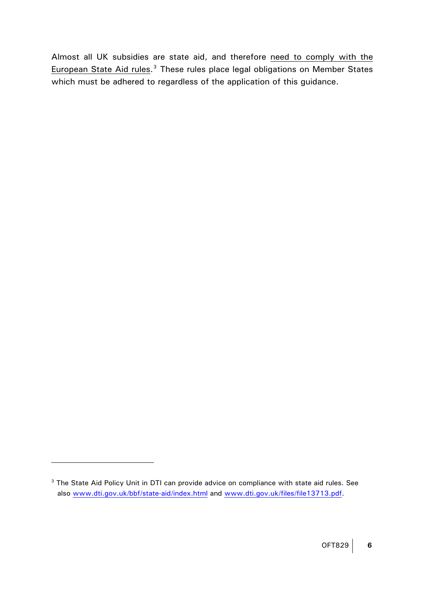Almost all UK subsidies are state aid, and therefore need to comply with the European State Aid rules.<sup>[3](#page-5-0)</sup> These rules place legal obligations on Member States which must be adhered to regardless of the application of this guidance.

<span id="page-5-0"></span><sup>&</sup>lt;sup>3</sup> The State Aid Policy Unit in DTI can provide advice on compliance with state aid rules. See also [www.dti.gov.uk/bbf/state-aid/index.html](http://www.dti.gov.uk/bbf/state-aid/index.html) and [www.dti.gov.uk/files/file13713.pdf.](http://www.dti.gov.uk/files/file13713.pdf)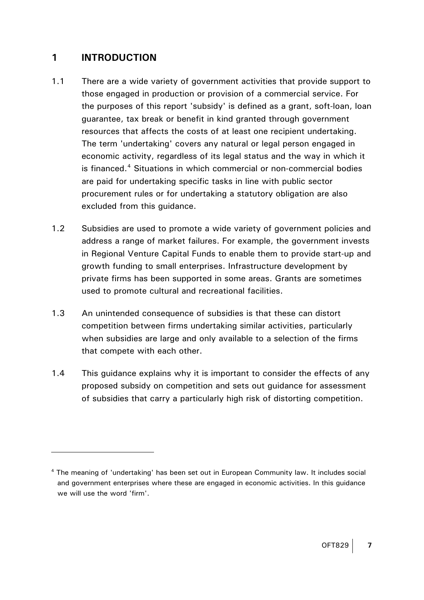## <span id="page-6-0"></span>**1 INTRODUCTION**

- 1.1 There are a wide variety of government activities that provide support to those engaged in production or provision of a commercial service. For the purposes of this report 'subsidy' is defined as a grant, soft-loan, loan guarantee, tax break or benefit in kind granted through government resources that affects the costs of at least one recipient undertaking. The term 'undertaking' covers any natural or legal person engaged in economic activity, regardless of its legal status and the way in which it is financed.<sup>[4](#page-6-1)</sup> Situations in which commercial or non-commercial bodies are paid for undertaking specific tasks in line with public sector procurement rules or for undertaking a statutory obligation are also excluded from this guidance.
- 1.2 Subsidies are used to promote a wide variety of government policies and address a range of market failures. For example, the government invests in Regional Venture Capital Funds to enable them to provide start-up and growth funding to small enterprises. Infrastructure development by private firms has been supported in some areas. Grants are sometimes used to promote cultural and recreational facilities.
- 1.3 An unintended consequence of subsidies is that these can distort competition between firms undertaking similar activities, particularly when subsidies are large and only available to a selection of the firms that compete with each other.
- 1.4 This guidance explains why it is important to consider the effects of any proposed subsidy on competition and sets out guidance for assessment of subsidies that carry a particularly high risk of distorting competition.

<span id="page-6-1"></span><sup>&</sup>lt;sup>4</sup> The meaning of 'undertaking' has been set out in European Community law. It includes social and government enterprises where these are engaged in economic activities. In this guidance we will use the word 'firm'.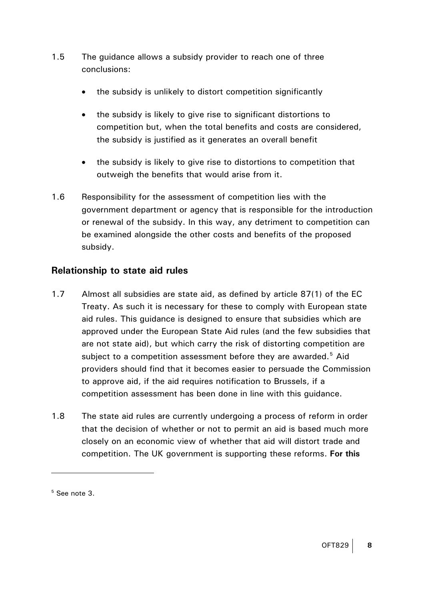- 1.5 The guidance allows a subsidy provider to reach one of three conclusions:
	- the subsidy is unlikely to distort competition significantly
	- the subsidy is likely to give rise to significant distortions to competition but, when the total benefits and costs are considered, the subsidy is justified as it generates an overall benefit
	- the subsidy is likely to give rise to distortions to competition that outweigh the benefits that would arise from it.
- 1.6 Responsibility for the assessment of competition lies with the government department or agency that is responsible for the introduction or renewal of the subsidy. In this way, any detriment to competition can be examined alongside the other costs and benefits of the proposed subsidy.

## **Relationship to state aid rules**

- 1.7 Almost all subsidies are state aid, as defined by article 87(1) of the EC Treaty. As such it is necessary for these to comply with European state aid rules. This guidance is designed to ensure that subsidies which are approved under the European State Aid rules (and the few subsidies that are not state aid), but which carry the risk of distorting competition are subject to a competition assessment before they are awarded.<sup>[5](#page-7-0)</sup> Aid providers should find that it becomes easier to persuade the Commission to approve aid, if the aid requires notification to Brussels, if a competition assessment has been done in line with this guidance.
- 1.8 The state aid rules are currently undergoing a process of reform in order that the decision of whether or not to permit an aid is based much more closely on an economic view of whether that aid will distort trade and competition. The UK government is supporting these reforms. **For this**

<span id="page-7-0"></span><sup>5</sup> See note 3.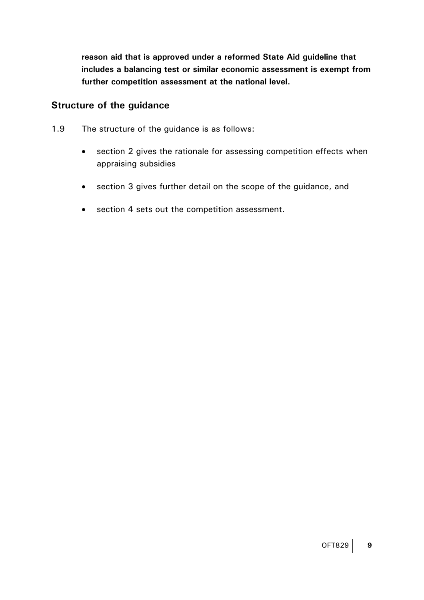**reason aid that is approved under a reformed State Aid guideline that includes a balancing test or similar economic assessment is exempt from further competition assessment at the national level.** 

#### **Structure of the guidance**

- 1.9 The structure of the guidance is as follows:
	- section 2 gives the rationale for assessing competition effects when appraising subsidies
	- section 3 gives further detail on the scope of the guidance, and
	- section 4 sets out the competition assessment.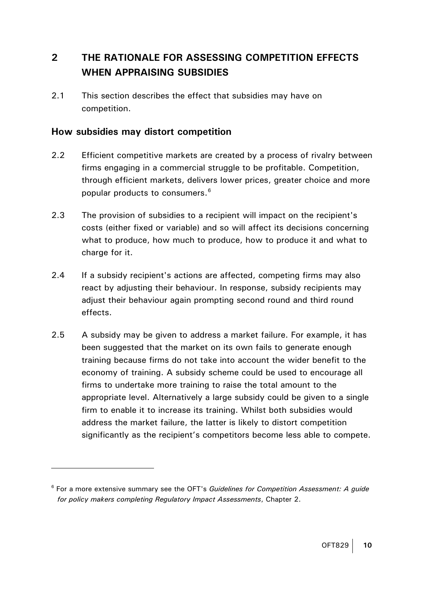## <span id="page-9-0"></span>**2 THE RATIONALE FOR ASSESSING COMPETITION EFFECTS WHEN APPRAISING SUBSIDIES**

2.1 This section describes the effect that subsidies may have on competition.

#### **How subsidies may distort competition**

- 2.2 Efficient competitive markets are created by a process of rivalry between firms engaging in a commercial struggle to be profitable. Competition, through efficient markets, delivers lower prices, greater choice and more popular products to consumers.<sup>[6](#page-9-1)</sup>
- 2.3 The provision of subsidies to a recipient will impact on the recipient's costs (either fixed or variable) and so will affect its decisions concerning what to produce, how much to produce, how to produce it and what to charge for it.
- 2.4 If a subsidy recipient's actions are affected, competing firms may also react by adjusting their behaviour. In response, subsidy recipients may adjust their behaviour again prompting second round and third round effects.
- 2.5 A subsidy may be given to address a market failure. For example, it has been suggested that the market on its own fails to generate enough training because firms do not take into account the wider benefit to the economy of training. A subsidy scheme could be used to encourage all firms to undertake more training to raise the total amount to the appropriate level. Alternatively a large subsidy could be given to a single firm to enable it to increase its training. Whilst both subsidies would address the market failure, the latter is likely to distort competition significantly as the recipient's competitors become less able to compete.

<span id="page-9-1"></span><sup>6</sup> For a more extensive summary see the OFT's *Guidelines for Competition Assessment: A guide for policy makers completing Regulatory Impact Assessments*, Chapter 2.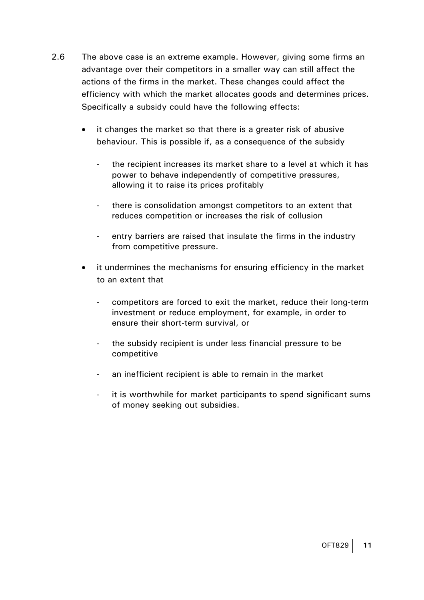- 2.6 The above case is an extreme example. However, giving some firms an advantage over their competitors in a smaller way can still affect the actions of the firms in the market. These changes could affect the efficiency with which the market allocates goods and determines prices. Specifically a subsidy could have the following effects:
	- it changes the market so that there is a greater risk of abusive behaviour. This is possible if, as a consequence of the subsidy
		- the recipient increases its market share to a level at which it has power to behave independently of competitive pressures, allowing it to raise its prices profitably
		- there is consolidation amongst competitors to an extent that reduces competition or increases the risk of collusion
		- entry barriers are raised that insulate the firms in the industry from competitive pressure.
	- it undermines the mechanisms for ensuring efficiency in the market to an extent that
		- competitors are forced to exit the market, reduce their long-term investment or reduce employment, for example, in order to ensure their short-term survival, or
		- the subsidy recipient is under less financial pressure to be competitive
		- an inefficient recipient is able to remain in the market
		- it is worthwhile for market participants to spend significant sums of money seeking out subsidies.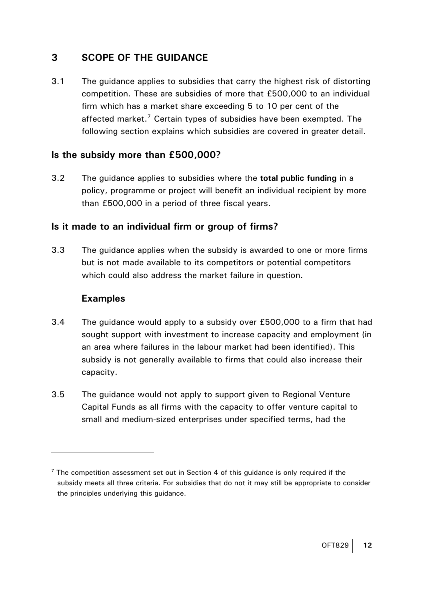## <span id="page-11-0"></span>**3 SCOPE OF THE GUIDANCE**

3.1 The guidance applies to subsidies that carry the highest risk of distorting competition. These are subsidies of more that £500,000 to an individual firm which has a market share exceeding 5 to 10 per cent of the affected market.<sup>[7](#page-11-1)</sup> Certain types of subsidies have been exempted. The following section explains which subsidies are covered in greater detail.

#### **Is the subsidy more than £500,000?**

3.2 The guidance applies to subsidies where the **total public funding** in a policy, programme or project will benefit an individual recipient by more than £500,000 in a period of three fiscal years.

#### **Is it made to an individual firm or group of firms?**

3.3 The guidance applies when the subsidy is awarded to one or more firms but is not made available to its competitors or potential competitors which could also address the market failure in question.

## **Examples**

- 3.4 The guidance would apply to a subsidy over £500,000 to a firm that had sought support with investment to increase capacity and employment (in an area where failures in the labour market had been identified). This subsidy is not generally available to firms that could also increase their capacity.
- 3.5 The guidance would not apply to support given to Regional Venture Capital Funds as all firms with the capacity to offer venture capital to small and medium-sized enterprises under specified terms, had the

<span id="page-11-1"></span> $7$  The competition assessment set out in Section 4 of this guidance is only required if the subsidy meets all three criteria. For subsidies that do not it may still be appropriate to consider the principles underlying this guidance.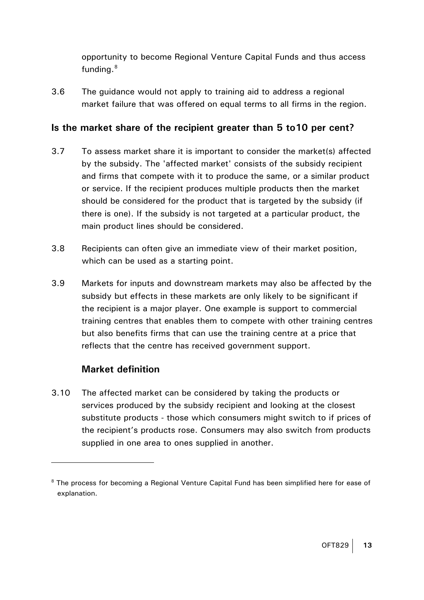opportunity to become Regional Venture Capital Funds and thus access funding.<sup>[8](#page-12-0)</sup>

3.6 The guidance would not apply to training aid to address a regional market failure that was offered on equal terms to all firms in the region.

## **Is the market share of the recipient greater than 5 to10 per cent?**

- 3.7 To assess market share it is important to consider the market(s) affected by the subsidy. The 'affected market' consists of the subsidy recipient and firms that compete with it to produce the same, or a similar product or service. If the recipient produces multiple products then the market should be considered for the product that is targeted by the subsidy (if there is one). If the subsidy is not targeted at a particular product, the main product lines should be considered.
- 3.8 Recipients can often give an immediate view of their market position, which can be used as a starting point.
- 3.9 Markets for inputs and downstream markets may also be affected by the subsidy but effects in these markets are only likely to be significant if the recipient is a major player. One example is support to commercial training centres that enables them to compete with other training centres but also benefits firms that can use the training centre at a price that reflects that the centre has received government support.

## **Market definition**

 $\overline{a}$ 

3.10 The affected market can be considered by taking the products or services produced by the subsidy recipient and looking at the closest substitute products - those which consumers might switch to if prices of the recipient's products rose. Consumers may also switch from products supplied in one area to ones supplied in another.

<span id="page-12-0"></span><sup>&</sup>lt;sup>8</sup> The process for becoming a Regional Venture Capital Fund has been simplified here for ease of explanation.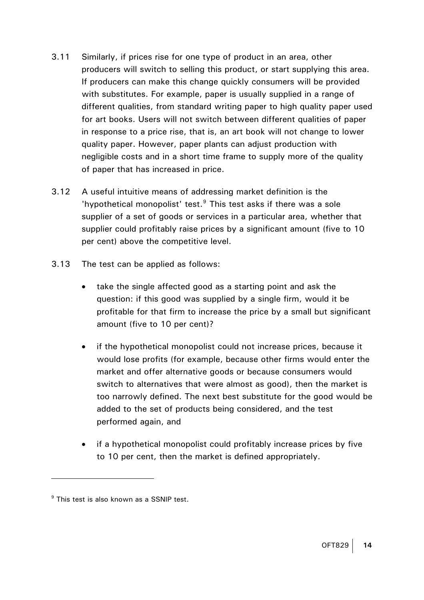- 3.11 Similarly, if prices rise for one type of product in an area, other producers will switch to selling this product, or start supplying this area. If producers can make this change quickly consumers will be provided with substitutes. For example, paper is usually supplied in a range of different qualities, from standard writing paper to high quality paper used for art books. Users will not switch between different qualities of paper in response to a price rise, that is, an art book will not change to lower quality paper. However, paper plants can adjust production with negligible costs and in a short time frame to supply more of the quality of paper that has increased in price.
- 3.12 A useful intuitive means of addressing market definition is the 'hypothetical monopolist' test.<sup>[9](#page-13-0)</sup> This test asks if there was a sole supplier of a set of goods or services in a particular area, whether that supplier could profitably raise prices by a significant amount (five to 10 per cent) above the competitive level.
- 3.13 The test can be applied as follows:
	- take the single affected good as a starting point and ask the question: if this good was supplied by a single firm, would it be profitable for that firm to increase the price by a small but significant amount (five to 10 per cent)?
	- if the hypothetical monopolist could not increase prices, because it would lose profits (for example, because other firms would enter the market and offer alternative goods or because consumers would switch to alternatives that were almost as good), then the market is too narrowly defined. The next best substitute for the good would be added to the set of products being considered, and the test performed again, and
	- if a hypothetical monopolist could profitably increase prices by five to 10 per cent, then the market is defined appropriately.

<span id="page-13-0"></span> $^9$  This test is also known as a SSNIP test.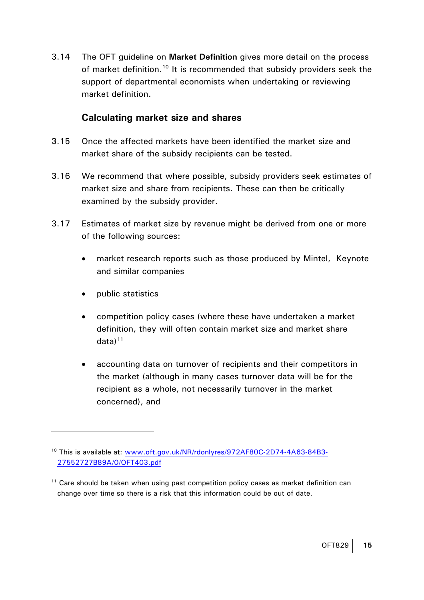3.14 The OFT guideline on **Market Definition** gives more detail on the process of market definition.<sup>[10](#page-14-0)</sup> It is recommended that subsidy providers seek the support of departmental economists when undertaking or reviewing market definition.

#### **Calculating market size and shares**

- 3.15 Once the affected markets have been identified the market size and market share of the subsidy recipients can be tested.
- 3.16 We recommend that where possible, subsidy providers seek estimates of market size and share from recipients. These can then be critically examined by the subsidy provider.
- 3.17 Estimates of market size by revenue might be derived from one or more of the following sources:
	- market research reports such as those produced by Mintel, Keynote and similar companies
	- public statistics

- competition policy cases (where these have undertaken a market definition, they will often contain market size and market share  $data)$ <sup>[11](#page-14-1)</sup>
- accounting data on turnover of recipients and their competitors in the market (although in many cases turnover data will be for the recipient as a whole, not necessarily turnover in the market concerned), and

<span id="page-14-0"></span><sup>10</sup> This is available at: [www.oft.gov.uk/NR/rdonlyres/972AF80C-2D74-4A63-84B3-](http://www.oft.gov.uk/NR/rdonlyres/972AF80C-2D74-4A63-84B3-27552727B89A/0/OFT403.pdf) [27552727B89A/0/OFT403.pdf](http://www.oft.gov.uk/NR/rdonlyres/972AF80C-2D74-4A63-84B3-27552727B89A/0/OFT403.pdf)

<span id="page-14-1"></span> $11$  Care should be taken when using past competition policy cases as market definition can change over time so there is a risk that this information could be out of date.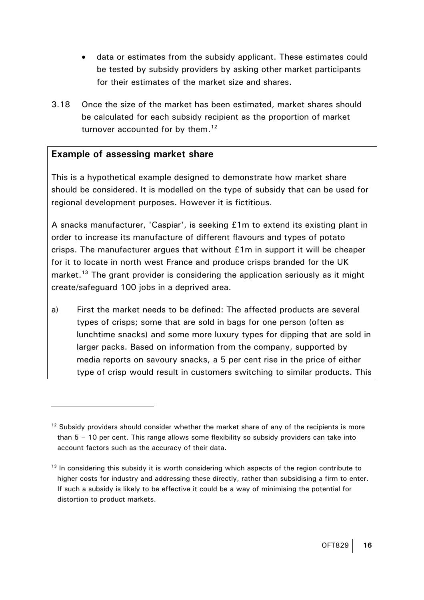- data or estimates from the subsidy applicant. These estimates could be tested by subsidy providers by asking other market participants for their estimates of the market size and shares.
- 3.18 Once the size of the market has been estimated, market shares should be calculated for each subsidy recipient as the proportion of market turnover accounted for by them.<sup>[12](#page-15-0)</sup>

#### **Example of assessing market share**

 $\overline{a}$ 

This is a hypothetical example designed to demonstrate how market share should be considered. It is modelled on the type of subsidy that can be used for regional development purposes. However it is fictitious.

A snacks manufacturer, 'Caspiar', is seeking £1m to extend its existing plant in order to increase its manufacture of different flavours and types of potato crisps. The manufacturer argues that without £1m in support it will be cheaper for it to locate in north west France and produce crisps branded for the UK market.<sup>[13](#page-15-1)</sup> The grant provider is considering the application seriously as it might create/safeguard 100 jobs in a deprived area.

a) First the market needs to be defined: The affected products are several types of crisps; some that are sold in bags for one person (often as lunchtime snacks) and some more luxury types for dipping that are sold in larger packs. Based on information from the company, supported by media reports on savoury snacks, a 5 per cent rise in the price of either type of crisp would result in customers switching to similar products. This

<span id="page-15-0"></span> $12$  Subsidy providers should consider whether the market share of any of the recipients is more than 5 – 10 per cent. This range allows some flexibility so subsidy providers can take into account factors such as the accuracy of their data.

<span id="page-15-1"></span><sup>&</sup>lt;sup>13</sup> In considering this subsidy it is worth considering which aspects of the region contribute to higher costs for industry and addressing these directly, rather than subsidising a firm to enter. If such a subsidy is likely to be effective it could be a way of minimising the potential for distortion to product markets.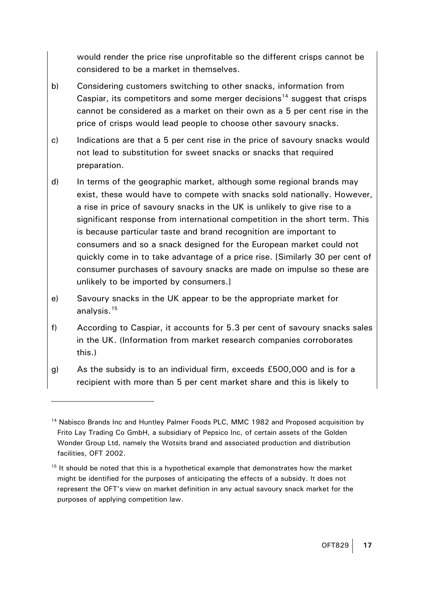would render the price rise unprofitable so the different crisps cannot be considered to be a market in themselves.

- b) Considering customers switching to other snacks, information from Caspiar, its competitors and some merger decisions<sup>[14](#page-16-0)</sup> suggest that crisps cannot be considered as a market on their own as a 5 per cent rise in the price of crisps would lead people to choose other savoury snacks.
- c) Indications are that a 5 per cent rise in the price of savoury snacks would not lead to substitution for sweet snacks or snacks that required preparation.
- d) In terms of the geographic market, although some regional brands may exist, these would have to compete with snacks sold nationally. However, a rise in price of savoury snacks in the UK is unlikely to give rise to a significant response from international competition in the short term. This is because particular taste and brand recognition are important to consumers and so a snack designed for the European market could not quickly come in to take advantage of a price rise. [Similarly 30 per cent of consumer purchases of savoury snacks are made on impulse so these are unlikely to be imported by consumers.]
- e) Savoury snacks in the UK appear to be the appropriate market for analysis.[15](#page-16-1)
- f) According to Caspiar, it accounts for 5.3 per cent of savoury snacks sales in the UK. (Information from market research companies corroborates this.)
- g) As the subsidy is to an individual firm, exceeds £500,000 and is for a recipient with more than 5 per cent market share and this is likely to

<span id="page-16-0"></span><sup>&</sup>lt;sup>14</sup> Nabisco Brands Inc and Huntley Palmer Foods PLC, MMC 1982 and Proposed acquisition by Frito Lay Trading Co GmbH, a subsidiary of Pepsico Inc, of certain assets of the Golden Wonder Group Ltd, namely the Wotsits brand and associated production and distribution facilities, OFT 2002.

<span id="page-16-1"></span> $15$  It should be noted that this is a hypothetical example that demonstrates how the market might be identified for the purposes of anticipating the effects of a subsidy. It does not represent the OFT's view on market definition in any actual savoury snack market for the purposes of applying competition law.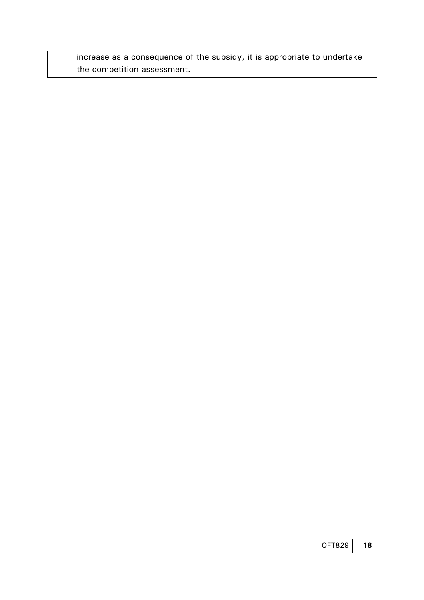increase as a consequence of the subsidy, it is appropriate to undertake the competition assessment.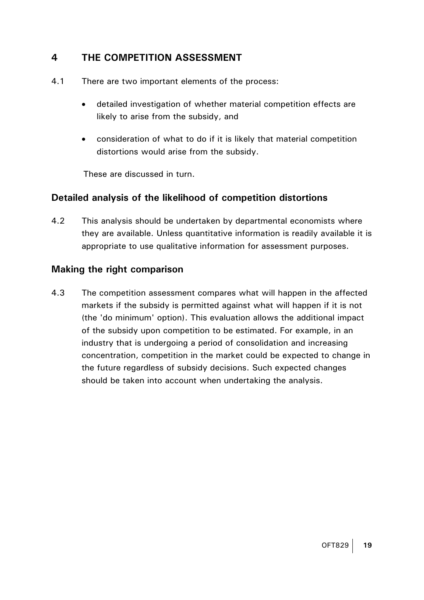## <span id="page-18-0"></span>**4 THE COMPETITION ASSESSMENT**

- 4.1 There are two important elements of the process:
	- detailed investigation of whether material competition effects are likely to arise from the subsidy, and
	- consideration of what to do if it is likely that material competition distortions would arise from the subsidy.

These are discussed in turn.

#### **Detailed analysis of the likelihood of competition distortions**

4.2 This analysis should be undertaken by departmental economists where they are available. Unless quantitative information is readily available it is appropriate to use qualitative information for assessment purposes.

#### **Making the right comparison**

4.3 The competition assessment compares what will happen in the affected markets if the subsidy is permitted against what will happen if it is not (the 'do minimum' option). This evaluation allows the additional impact of the subsidy upon competition to be estimated. For example, in an industry that is undergoing a period of consolidation and increasing concentration, competition in the market could be expected to change in the future regardless of subsidy decisions. Such expected changes should be taken into account when undertaking the analysis.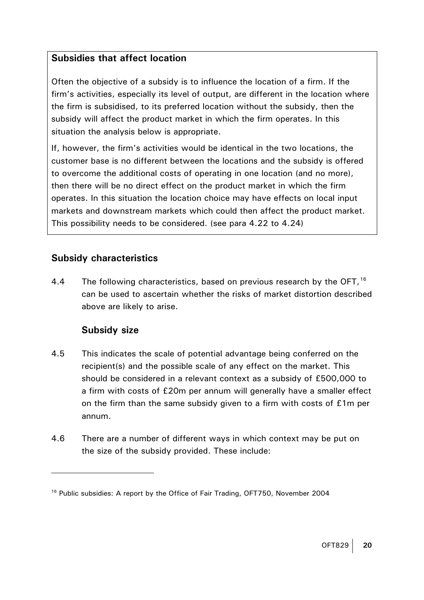#### **Subsidies that affect location**

Often the objective of a subsidy is to influence the location of a firm. If the firm's activities, especially its level of output, are different in the location where the firm is subsidised, to its preferred location without the subsidy, then the subsidy will affect the product market in which the firm operates. In this situation the analysis below is appropriate.

If, however, the firm's activities would be identical in the two locations, the customer base is no different between the locations and the subsidy is offered to overcome the additional costs of operating in one location (and no more), then there will be no direct effect on the product market in which the firm operates. In this situation the location choice may have effects on local input markets and downstream markets which could then affect the product market. This possibility needs to be considered. (see para 4.22 to 4.24)

## **Subsidy characteristics**

4.4 The following characteristics, based on previous research by the OFT,<sup>[16](#page-19-0)</sup> can be used to ascertain whether the risks of market distortion described above are likely to arise.

## **Subsidy size**

- 4.5 This indicates the scale of potential advantage being conferred on the recipient(s) and the possible scale of any effect on the market. This should be considered in a relevant context as a subsidy of £500,000 to a firm with costs of £20m per annum will generally have a smaller effect on the firm than the same subsidy given to a firm with costs of £1m per annum.
- 4.6 There are a number of different ways in which context may be put on the size of the subsidy provided. These include:

<span id="page-19-0"></span><sup>&</sup>lt;sup>16</sup> Public subsidies: A report by the Office of Fair Trading, OFT750, November 2004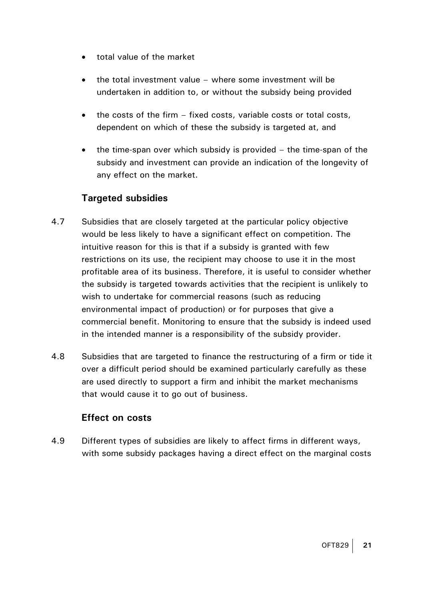- total value of the market
- the total investment value where some investment will be undertaken in addition to, or without the subsidy being provided
- the costs of the firm fixed costs, variable costs or total costs, dependent on which of these the subsidy is targeted at, and
- the time-span over which subsidy is provided the time-span of the subsidy and investment can provide an indication of the longevity of any effect on the market.

## **Targeted subsidies**

- 4.7 Subsidies that are closely targeted at the particular policy objective would be less likely to have a significant effect on competition. The intuitive reason for this is that if a subsidy is granted with few restrictions on its use, the recipient may choose to use it in the most profitable area of its business. Therefore, it is useful to consider whether the subsidy is targeted towards activities that the recipient is unlikely to wish to undertake for commercial reasons (such as reducing environmental impact of production) or for purposes that give a commercial benefit. Monitoring to ensure that the subsidy is indeed used in the intended manner is a responsibility of the subsidy provider.
- 4.8 Subsidies that are targeted to finance the restructuring of a firm or tide it over a difficult period should be examined particularly carefully as these are used directly to support a firm and inhibit the market mechanisms that would cause it to go out of business.

#### **Effect on costs**

4.9 Different types of subsidies are likely to affect firms in different ways, with some subsidy packages having a direct effect on the marginal costs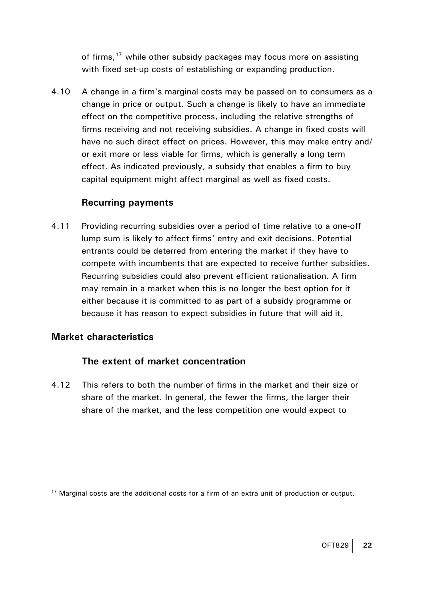of firms,<sup>[17](#page-21-0)</sup> while other subsidy packages may focus more on assisting with fixed set-up costs of establishing or expanding production.

4.10 A change in a firm's marginal costs may be passed on to consumers as a change in price or output. Such a change is likely to have an immediate effect on the competitive process, including the relative strengths of firms receiving and not receiving subsidies. A change in fixed costs will have no such direct effect on prices. However, this may make entry and/ or exit more or less viable for firms, which is generally a long term effect. As indicated previously, a subsidy that enables a firm to buy capital equipment might affect marginal as well as fixed costs.

## **Recurring payments**

4.11 Providing recurring subsidies over a period of time relative to a one-off lump sum is likely to affect firms' entry and exit decisions. Potential entrants could be deterred from entering the market if they have to compete with incumbents that are expected to receive further subsidies. Recurring subsidies could also prevent efficient rationalisation. A firm may remain in a market when this is no longer the best option for it either because it is committed to as part of a subsidy programme or because it has reason to expect subsidies in future that will aid it.

## **Market characteristics**

 $\overline{a}$ 

#### **The extent of market concentration**

4.12 This refers to both the number of firms in the market and their size or share of the market. In general, the fewer the firms, the larger their share of the market, and the less competition one would expect to

<span id="page-21-0"></span><sup>&</sup>lt;sup>17</sup> Marginal costs are the additional costs for a firm of an extra unit of production or output.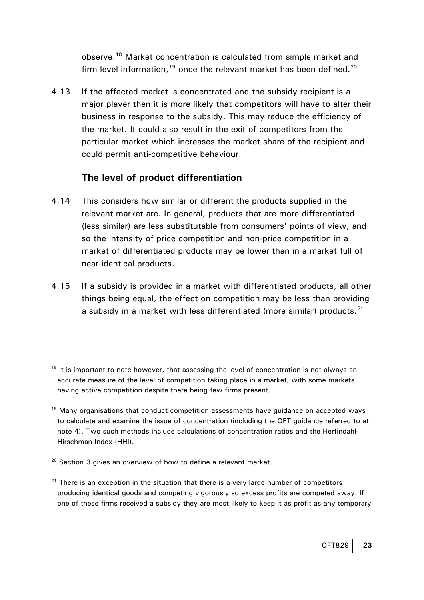observe.[18](#page-22-0) Market concentration is calculated from simple market and firm level information, $19$  once the relevant market has been defined. $20$ 

4.13 If the affected market is concentrated and the subsidy recipient is a major player then it is more likely that competitors will have to alter their business in response to the subsidy. This may reduce the efficiency of the market. It could also result in the exit of competitors from the particular market which increases the market share of the recipient and could permit anti-competitive behaviour.

#### **The level of product differentiation**

- 4.14 This considers how similar or different the products supplied in the relevant market are. In general, products that are more differentiated (less similar) are less substitutable from consumers' points of view, and so the intensity of price competition and non-price competition in a market of differentiated products may be lower than in a market full of near-identical products.
- 4.15 If a subsidy is provided in a market with differentiated products, all other things being equal, the effect on competition may be less than providing a subsidy in a market with less differentiated (more similar) products. $21$

<span id="page-22-0"></span> $18$  It is important to note however, that assessing the level of concentration is not always an accurate measure of the level of competition taking place in a market, with some markets having active competition despite there being few firms present.

<span id="page-22-1"></span> $19$  Many organisations that conduct competition assessments have guidance on accepted ways to calculate and examine the issue of concentration (including the OFT guidance referred to at note 4). Two such methods include calculations of concentration ratios and the Herfindahl-Hirschman Index (HHI).

<span id="page-22-2"></span> $20$  Section 3 gives an overview of how to define a relevant market.

<span id="page-22-3"></span> $21$  There is an exception in the situation that there is a very large number of competitors producing identical goods and competing vigorously so excess profits are competed away. If one of these firms received a subsidy they are most likely to keep it as profit as any temporary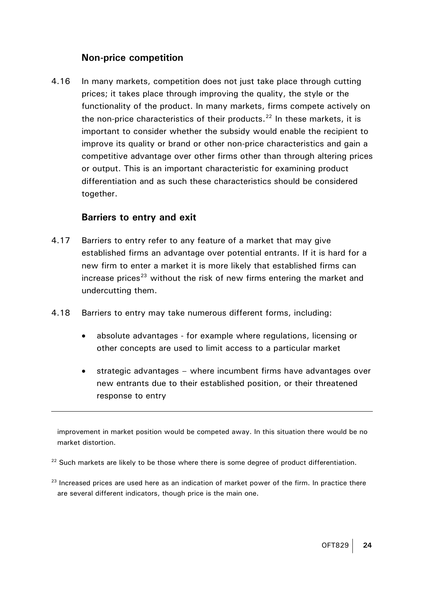#### **Non-price competition**

4.16 In many markets, competition does not just take place through cutting prices; it takes place through improving the quality, the style or the functionality of the product. In many markets, firms compete actively on the non-price characteristics of their products. $22$  In these markets, it is important to consider whether the subsidy would enable the recipient to improve its quality or brand or other non-price characteristics and gain a competitive advantage over other firms other than through altering prices or output. This is an important characteristic for examining product differentiation and as such these characteristics should be considered together.

#### **Barriers to entry and exit**

 $\overline{a}$ 

- 4.17 Barriers to entry refer to any feature of a market that may give established firms an advantage over potential entrants. If it is hard for a new firm to enter a market it is more likely that established firms can increase prices<sup>[23](#page-23-1)</sup> without the risk of new firms entering the market and undercutting them.
- 4.18 Barriers to entry may take numerous different forms, including:
	- absolute advantages for example where regulations, licensing or other concepts are used to limit access to a particular market
	- strategic advantages where incumbent firms have advantages over new entrants due to their established position, or their threatened response to entry

improvement in market position would be competed away. In this situation there would be no market distortion.

<span id="page-23-0"></span><sup>22</sup> Such markets are likely to be those where there is some degree of product differentiation.

<span id="page-23-1"></span> $23$  Increased prices are used here as an indication of market power of the firm. In practice there are several different indicators, though price is the main one.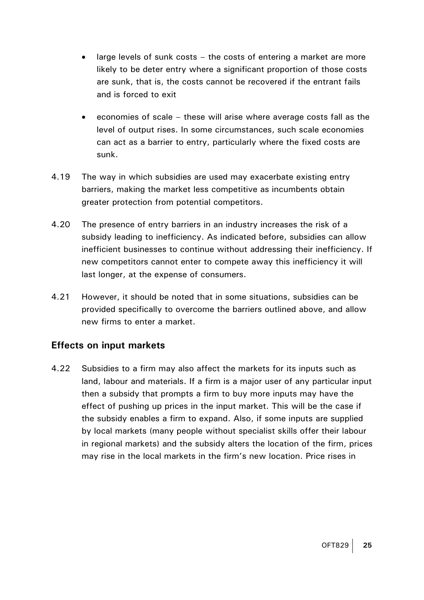- large levels of sunk costs the costs of entering a market are more likely to be deter entry where a significant proportion of those costs are sunk, that is, the costs cannot be recovered if the entrant fails and is forced to exit
- economies of scale these will arise where average costs fall as the level of output rises. In some circumstances, such scale economies can act as a barrier to entry, particularly where the fixed costs are sunk.
- 4.19 The way in which subsidies are used may exacerbate existing entry barriers, making the market less competitive as incumbents obtain greater protection from potential competitors.
- 4.20 The presence of entry barriers in an industry increases the risk of a subsidy leading to inefficiency. As indicated before, subsidies can allow inefficient businesses to continue without addressing their inefficiency. If new competitors cannot enter to compete away this inefficiency it will last longer, at the expense of consumers.
- 4.21 However, it should be noted that in some situations, subsidies can be provided specifically to overcome the barriers outlined above, and allow new firms to enter a market.

#### **Effects on input markets**

4.22 Subsidies to a firm may also affect the markets for its inputs such as land, labour and materials. If a firm is a major user of any particular input then a subsidy that prompts a firm to buy more inputs may have the effect of pushing up prices in the input market. This will be the case if the subsidy enables a firm to expand. Also, if some inputs are supplied by local markets (many people without specialist skills offer their labour in regional markets) and the subsidy alters the location of the firm, prices may rise in the local markets in the firm's new location. Price rises in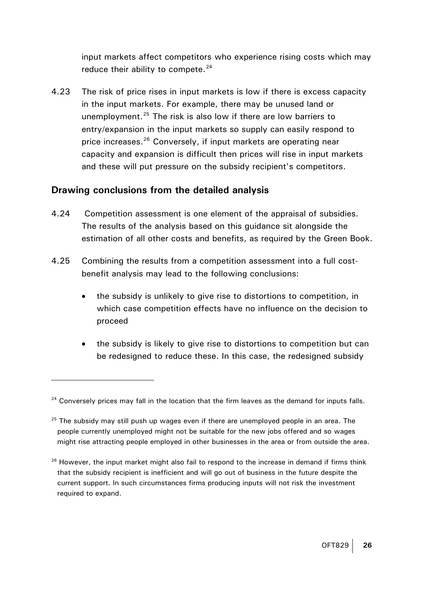input markets affect competitors who experience rising costs which may reduce their ability to compete. $24$ 

4.23 The risk of price rises in input markets is low if there is excess capacity in the input markets. For example, there may be unused land or unemployment.<sup>[25](#page-25-1)</sup> The risk is also low if there are low barriers to entry/expansion in the input markets so supply can easily respond to price increases.<sup>[26](#page-25-2)</sup> Conversely, if input markets are operating near capacity and expansion is difficult then prices will rise in input markets and these will put pressure on the subsidy recipient's competitors.

## **Drawing conclusions from the detailed analysis**

- 4.24 Competition assessment is one element of the appraisal of subsidies. The results of the analysis based on this guidance sit alongside the estimation of all other costs and benefits, as required by the Green Book.
- 4.25 Combining the results from a competition assessment into a full costbenefit analysis may lead to the following conclusions:
	- the subsidy is unlikely to give rise to distortions to competition, in which case competition effects have no influence on the decision to proceed
	- the subsidy is likely to give rise to distortions to competition but can be redesigned to reduce these. In this case, the redesigned subsidy

<span id="page-25-0"></span><sup>&</sup>lt;sup>24</sup> Conversely prices may fall in the location that the firm leaves as the demand for inputs falls.

<span id="page-25-1"></span> $25$  The subsidy may still push up wages even if there are unemployed people in an area. The people currently unemployed might not be suitable for the new jobs offered and so wages might rise attracting people employed in other businesses in the area or from outside the area.

<span id="page-25-2"></span><sup>&</sup>lt;sup>26</sup> However, the input market might also fail to respond to the increase in demand if firms think that the subsidy recipient is inefficient and will go out of business in the future despite the current support. In such circumstances firms producing inputs will not risk the investment required to expand.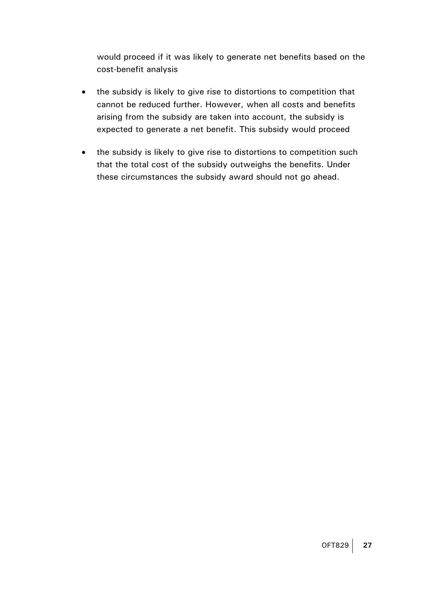would proceed if it was likely to generate net benefits based on the cost-benefit analysis

- the subsidy is likely to give rise to distortions to competition that cannot be reduced further. However, when all costs and benefits arising from the subsidy are taken into account, the subsidy is expected to generate a net benefit. This subsidy would proceed
- the subsidy is likely to give rise to distortions to competition such that the total cost of the subsidy outweighs the benefits. Under these circumstances the subsidy award should not go ahead.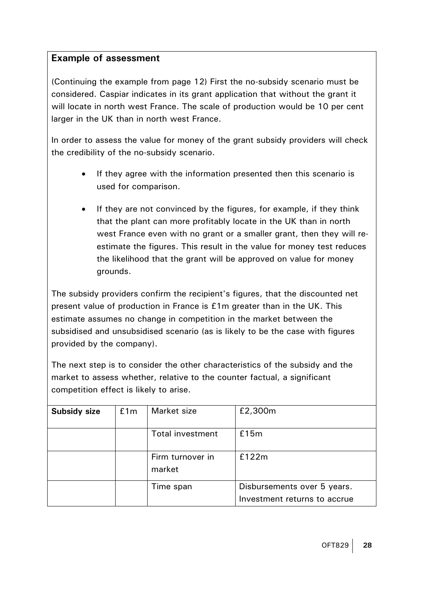#### **Example of assessment**

(Continuing the example from page 12) First the no-subsidy scenario must be considered. Caspiar indicates in its grant application that without the grant it will locate in north west France. The scale of production would be 10 per cent larger in the UK than in north west France.

In order to assess the value for money of the grant subsidy providers will check the credibility of the no-subsidy scenario.

- If they agree with the information presented then this scenario is used for comparison.
- If they are not convinced by the figures, for example, if they think that the plant can more profitably locate in the UK than in north west France even with no grant or a smaller grant, then they will reestimate the figures. This result in the value for money test reduces the likelihood that the grant will be approved on value for money grounds.

The subsidy providers confirm the recipient's figures, that the discounted net present value of production in France is £1m greater than in the UK. This estimate assumes no change in competition in the market between the subsidised and unsubsidised scenario (as is likely to be the case with figures provided by the company).

The next step is to consider the other characteristics of the subsidy and the market to assess whether, relative to the counter factual, a significant competition effect is likely to arise.

| <b>Subsidy size</b> | £1m | Market size                | £2,300m                                                     |
|---------------------|-----|----------------------------|-------------------------------------------------------------|
|                     |     | <b>Total investment</b>    | £15m                                                        |
|                     |     | Firm turnover in<br>market | £122m                                                       |
|                     |     | Time span                  | Disbursements over 5 years.<br>Investment returns to accrue |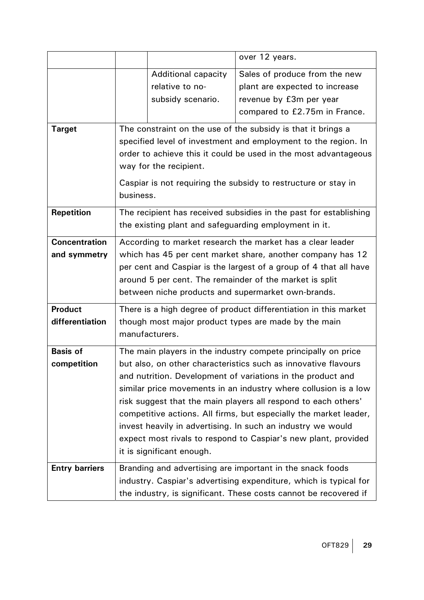|                                                                                                                                                                                                                             |                                                                                                                                                                                                                                                                                                                                                                                                                                                                                                                                                                        |                                               | over 12 years.                                                  |  |
|-----------------------------------------------------------------------------------------------------------------------------------------------------------------------------------------------------------------------------|------------------------------------------------------------------------------------------------------------------------------------------------------------------------------------------------------------------------------------------------------------------------------------------------------------------------------------------------------------------------------------------------------------------------------------------------------------------------------------------------------------------------------------------------------------------------|-----------------------------------------------|-----------------------------------------------------------------|--|
|                                                                                                                                                                                                                             |                                                                                                                                                                                                                                                                                                                                                                                                                                                                                                                                                                        | <b>Additional capacity</b><br>relative to no- | Sales of produce from the new<br>plant are expected to increase |  |
|                                                                                                                                                                                                                             |                                                                                                                                                                                                                                                                                                                                                                                                                                                                                                                                                                        | subsidy scenario.                             | revenue by £3m per year                                         |  |
|                                                                                                                                                                                                                             |                                                                                                                                                                                                                                                                                                                                                                                                                                                                                                                                                                        |                                               | compared to £2.75m in France.                                   |  |
| <b>Target</b>                                                                                                                                                                                                               | The constraint on the use of the subsidy is that it brings a<br>specified level of investment and employment to the region. In<br>order to achieve this it could be used in the most advantageous<br>way for the recipient.<br>Caspiar is not requiring the subsidy to restructure or stay in<br>business.                                                                                                                                                                                                                                                             |                                               |                                                                 |  |
| <b>Repetition</b>                                                                                                                                                                                                           | The recipient has received subsidies in the past for establishing<br>the existing plant and safeguarding employment in it.                                                                                                                                                                                                                                                                                                                                                                                                                                             |                                               |                                                                 |  |
| <b>Concentration</b><br>and symmetry                                                                                                                                                                                        | According to market research the market has a clear leader<br>which has 45 per cent market share, another company has 12<br>per cent and Caspiar is the largest of a group of 4 that all have<br>around 5 per cent. The remainder of the market is split<br>between niche products and supermarket own-brands.                                                                                                                                                                                                                                                         |                                               |                                                                 |  |
| <b>Product</b><br>differentiation                                                                                                                                                                                           | There is a high degree of product differentiation in this market<br>though most major product types are made by the main<br>manufacturers.                                                                                                                                                                                                                                                                                                                                                                                                                             |                                               |                                                                 |  |
| <b>Basis of</b><br>competition                                                                                                                                                                                              | The main players in the industry compete principally on price<br>but also, on other characteristics such as innovative flavours<br>and nutrition. Development of variations in the product and<br>similar price movements in an industry where collusion is a low<br>risk suggest that the main players all respond to each others'<br>competitive actions. All firms, but especially the market leader,<br>invest heavily in advertising. In such an industry we would<br>expect most rivals to respond to Caspiar's new plant, provided<br>it is significant enough. |                                               |                                                                 |  |
| <b>Entry barriers</b><br>Branding and advertising are important in the snack foods<br>industry. Caspiar's advertising expenditure, which is typical for<br>the industry, is significant. These costs cannot be recovered if |                                                                                                                                                                                                                                                                                                                                                                                                                                                                                                                                                                        |                                               |                                                                 |  |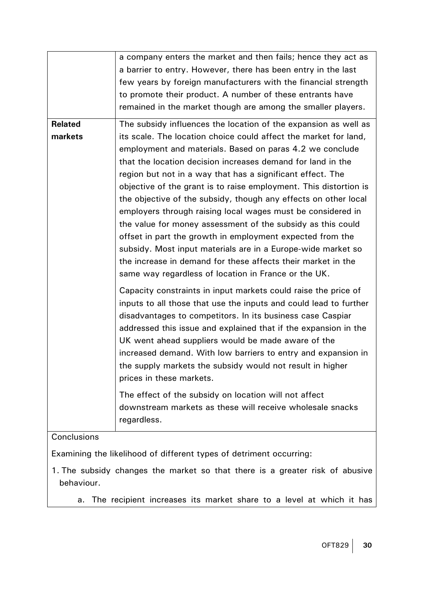|                                                                              | a company enters the market and then fails; hence they act as                                                                       |  |  |  |  |
|------------------------------------------------------------------------------|-------------------------------------------------------------------------------------------------------------------------------------|--|--|--|--|
|                                                                              | a barrier to entry. However, there has been entry in the last<br>few years by foreign manufacturers with the financial strength     |  |  |  |  |
|                                                                              | to promote their product. A number of these entrants have                                                                           |  |  |  |  |
|                                                                              | remained in the market though are among the smaller players.                                                                        |  |  |  |  |
|                                                                              |                                                                                                                                     |  |  |  |  |
| <b>Related</b>                                                               | The subsidy influences the location of the expansion as well as                                                                     |  |  |  |  |
| markets                                                                      | its scale. The location choice could affect the market for land,                                                                    |  |  |  |  |
|                                                                              | employment and materials. Based on paras 4.2 we conclude                                                                            |  |  |  |  |
|                                                                              | that the location decision increases demand for land in the                                                                         |  |  |  |  |
|                                                                              | region but not in a way that has a significant effect. The                                                                          |  |  |  |  |
|                                                                              | objective of the grant is to raise employment. This distortion is                                                                   |  |  |  |  |
|                                                                              | the objective of the subsidy, though any effects on other local                                                                     |  |  |  |  |
|                                                                              | employers through raising local wages must be considered in<br>the value for money assessment of the subsidy as this could          |  |  |  |  |
|                                                                              | offset in part the growth in employment expected from the                                                                           |  |  |  |  |
|                                                                              | subsidy. Most input materials are in a Europe-wide market so                                                                        |  |  |  |  |
|                                                                              | the increase in demand for these affects their market in the                                                                        |  |  |  |  |
|                                                                              | same way regardless of location in France or the UK.                                                                                |  |  |  |  |
|                                                                              |                                                                                                                                     |  |  |  |  |
|                                                                              | Capacity constraints in input markets could raise the price of<br>inputs to all those that use the inputs and could lead to further |  |  |  |  |
|                                                                              | disadvantages to competitors. In its business case Caspiar                                                                          |  |  |  |  |
|                                                                              | addressed this issue and explained that if the expansion in the                                                                     |  |  |  |  |
|                                                                              | UK went ahead suppliers would be made aware of the                                                                                  |  |  |  |  |
|                                                                              | increased demand. With low barriers to entry and expansion in                                                                       |  |  |  |  |
|                                                                              | the supply markets the subsidy would not result in higher                                                                           |  |  |  |  |
|                                                                              | prices in these markets.                                                                                                            |  |  |  |  |
|                                                                              | The effect of the subsidy on location will not affect                                                                               |  |  |  |  |
|                                                                              | downstream markets as these will receive wholesale snacks                                                                           |  |  |  |  |
|                                                                              | regardless.                                                                                                                         |  |  |  |  |
|                                                                              |                                                                                                                                     |  |  |  |  |
| Conclusions                                                                  |                                                                                                                                     |  |  |  |  |
| Examining the likelihood of different types of detriment occurring:          |                                                                                                                                     |  |  |  |  |
| 1. The subsidy changes the market so that there is a greater risk of abusive |                                                                                                                                     |  |  |  |  |
| behaviour.                                                                   |                                                                                                                                     |  |  |  |  |

a. The recipient increases its market share to a level at which it has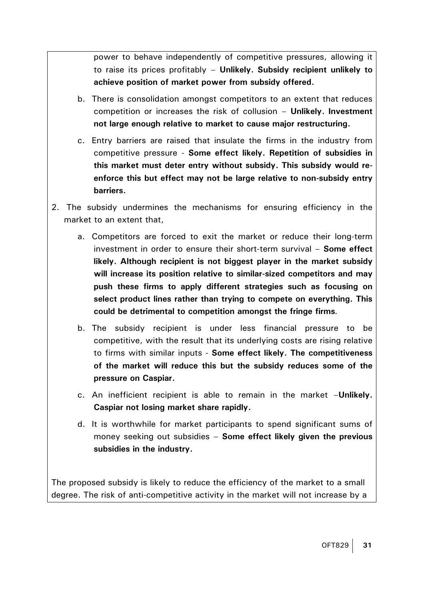power to behave independently of competitive pressures, allowing it to raise its prices profitably – **Unlikely. Subsidy recipient unlikely to achieve position of market power from subsidy offered.**

- b. There is consolidation amongst competitors to an extent that reduces competition or increases the risk of collusion – **Unlikely. Investment not large enough relative to market to cause major restructuring.**
- c. Entry barriers are raised that insulate the firms in the industry from competitive pressure - **Some effect likely. Repetition of subsidies in this market must deter entry without subsidy. This subsidy would reenforce this but effect may not be large relative to non-subsidy entry barriers.**
- 2. The subsidy undermines the mechanisms for ensuring efficiency in the market to an extent that,
	- a. Competitors are forced to exit the market or reduce their long-term investment in order to ensure their short-term survival – **Some effect likely. Although recipient is not biggest player in the market subsidy will increase its position relative to similar-sized competitors and may push these firms to apply different strategies such as focusing on select product lines rather than trying to compete on everything. This could be detrimental to competition amongst the fringe firms***.*
	- b. The subsidy recipient is under less financial pressure to be competitive, with the result that its underlying costs are rising relative to firms with similar inputs - **Some effect likely. The competitiveness of the market will reduce this but the subsidy reduces some of the pressure on Caspiar.**
	- c. An inefficient recipient is able to remain in the market –**Unlikely. Caspiar not losing market share rapidly.**
	- d. It is worthwhile for market participants to spend significant sums of money seeking out subsidies – **Some effect likely given the previous subsidies in the industry.**

The proposed subsidy is likely to reduce the efficiency of the market to a small degree. The risk of anti-competitive activity in the market will not increase by a